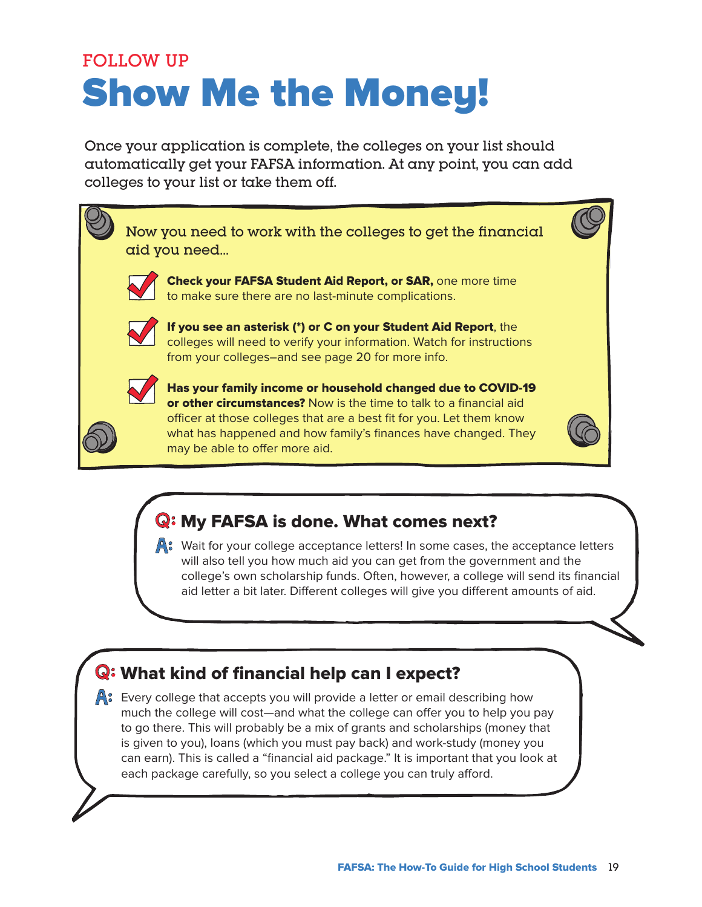# FOLLOW UP Show Me the Money!

Once your application is complete, the colleges on your list should automatically get your FAFSA information. At any point, you can add colleges to your list or take them off.



# Q: My FAFSA is done. What comes next?

 $\mathbb{A}$ : Wait for your college acceptance letters! In some cases, the acceptance letters will also tell you how much aid you can get from the government and the college's own scholarship funds. Often, however, a college will send its financial aid letter a bit later. Different colleges will give you different amounts of aid.

# Q: What kind of financial help can I expect?

A: Every college that accepts you will provide a letter or email describing how much the college will cost—and what the college can offer you to help you pay to go there. This will probably be a mix of grants and scholarships (money that is given to you), loans (which you must pay back) and work-study (money you can earn). This is called a "financial aid package." It is important that you look at each package carefully, so you select a college you can truly afford.